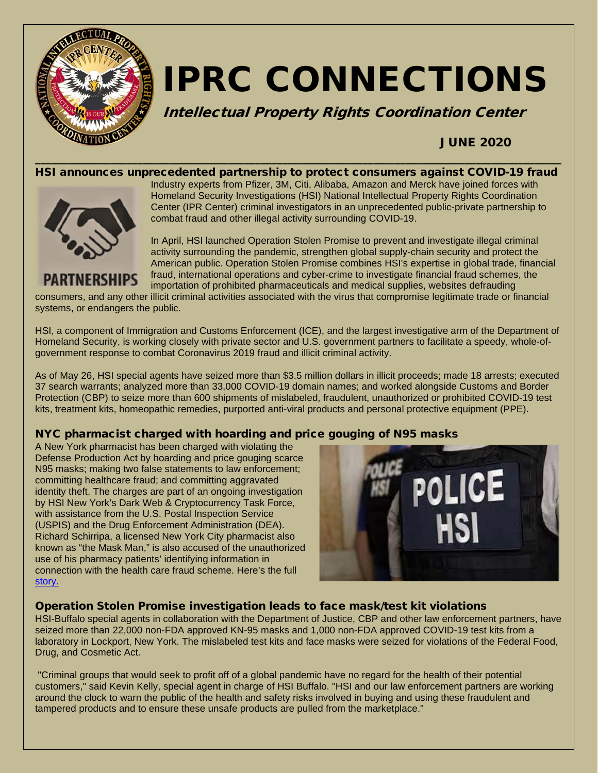

# IPRC CONNECTIONS

Intellectual Property Rights Coordination Center

# JUNE 2020

#### \_\_\_\_\_\_\_\_\_\_\_\_\_\_\_\_\_\_\_\_\_\_\_\_\_\_\_\_\_\_\_\_\_\_\_\_\_\_\_\_\_\_\_\_\_\_\_\_\_\_\_\_\_\_\_\_\_\_\_\_\_\_\_\_\_\_\_\_\_\_\_\_\_\_\_\_\_\_\_\_\_\_\_\_\_\_\_\_\_\_\_\_\_\_\_\_\_\_ HSI announces unprecedented partnership to protect consumers against COVID-19 fraud



**PARTNERSHIPS** 

Industry experts from Pfizer, 3M, Citi, Alibaba, Amazon and Merck have joined forces with Homeland Security Investigations (HSI) National Intellectual Property Rights Coordination Center (IPR Center) criminal investigators in an unprecedented public-private partnership to combat fraud and other illegal activity surrounding COVID-19.

In April, HSI launched Operation Stolen Promise to prevent and investigate illegal criminal activity surrounding the pandemic, strengthen global supply-chain security and protect the American public. Operation Stolen Promise combines HSI's expertise in global trade, financial fraud, international operations and cyber-crime to investigate financial fraud schemes, the importation of prohibited pharmaceuticals and medical supplies, websites defrauding

consumers, and any other illicit criminal activities associated with the virus that compromise legitimate trade or financial systems, or endangers the public.

HSI, a component of Immigration and Customs Enforcement (ICE), and the largest investigative arm of the Department of Homeland Security, is working closely with private sector and U.S. government partners to facilitate a speedy, whole-ofgovernment response to combat Coronavirus 2019 fraud and illicit criminal activity.

As of May 26, HSI special agents have seized more than \$3.5 million dollars in illicit proceeds; made 18 arrests; executed 37 search warrants; analyzed more than 33,000 COVID-19 domain names; and worked alongside Customs and Border Protection (CBP) to seize more than 600 shipments of mislabeled, fraudulent, unauthorized or prohibited COVID-19 test kits, treatment kits, homeopathic remedies, purported anti-viral products and personal protective equipment (PPE).

#### NYC pharmacist charged with hoarding and price gouging of N95 masks

A New York pharmacist has been charged with violating the Defense Production Act by hoarding and price gouging scarce N95 masks; making two false statements to law enforcement; committing healthcare fraud; and committing aggravated identity theft. The charges are part of an ongoing investigation by HSI New York's Dark Web & Cryptocurrency Task Force, with assistance from the U.S. Postal Inspection Service (USPIS) and the Drug Enforcement Administration (DEA). Richard Schirripa, a licensed New York City pharmacist also known as "the Mask Man," is also accused of the unauthorized use of his pharmacy patients' identifying information in connection with the health care fraud scheme. Here's the full [story.](https://www.ice.gov/news/releases/nyc-pharmacist-charged-hoarding-and-price-gouging-n95-masks) 



#### Operation Stolen Promise investigation leads to face mask/test kit violations

HSI-Buffalo special agents in collaboration with the Department of Justice, CBP and other law enforcement partners, have seized more than 22,000 non-FDA approved KN-95 masks and 1,000 non-FDA approved COVID-19 test kits from a laboratory in Lockport, New York. The mislabeled test kits and face masks were seized for violations of the Federal Food, Drug, and Cosmetic Act.

"Criminal groups that would seek to profit off of a global pandemic have no regard for the health of their potential customers," said Kevin Kelly, special agent in charge of HSI Buffalo. "HSI and our law enforcement partners are working around the clock to warn the public of the health and safety risks involved in buying and using these fraudulent and tampered products and to ensure these unsafe products are pulled from the marketplace."